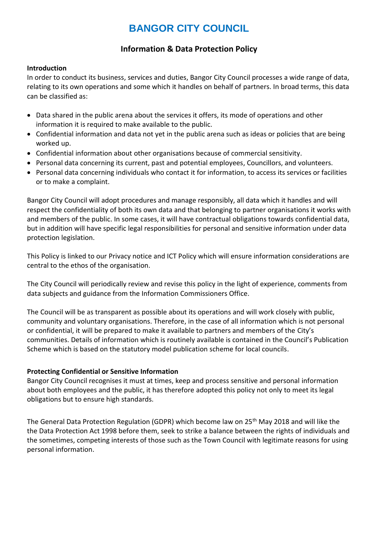# **BANGOR CITY COUNCIL**

# **Information & Data Protection Policy**

#### **Introduction**

In order to conduct its business, services and duties, Bangor City Council processes a wide range of data, relating to its own operations and some which it handles on behalf of partners. In broad terms, this data can be classified as:

- Data shared in the public arena about the services it offers, its mode of operations and other information it is required to make available to the public.
- Confidential information and data not yet in the public arena such as ideas or policies that are being worked up.
- Confidential information about other organisations because of commercial sensitivity.
- Personal data concerning its current, past and potential employees, Councillors, and volunteers.
- Personal data concerning individuals who contact it for information, to access its services or facilities or to make a complaint.

Bangor City Council will adopt procedures and manage responsibly, all data which it handles and will respect the confidentiality of both its own data and that belonging to partner organisations it works with and members of the public. In some cases, it will have contractual obligations towards confidential data, but in addition will have specific legal responsibilities for personal and sensitive information under data protection legislation.

This Policy is linked to our Privacy notice and ICT Policy which will ensure information considerations are central to the ethos of the organisation.

The City Council will periodically review and revise this policy in the light of experience, comments from data subjects and guidance from the Information Commissioners Office.

The Council will be as transparent as possible about its operations and will work closely with public, community and voluntary organisations. Therefore, in the case of all information which is not personal or confidential, it will be prepared to make it available to partners and members of the City's communities. Details of information which is routinely available is contained in the Council's Publication Scheme which is based on the statutory model publication scheme for local councils.

## **Protecting Confidential or Sensitive Information**

Bangor City Council recognises it must at times, keep and process sensitive and personal information about both employees and the public, it has therefore adopted this policy not only to meet its legal obligations but to ensure high standards.

The General Data Protection Regulation (GDPR) which become law on 25<sup>th</sup> May 2018 and will like the the Data Protection Act 1998 before them, seek to strike a balance between the rights of individuals and the sometimes, competing interests of those such as the Town Council with legitimate reasons for using personal information.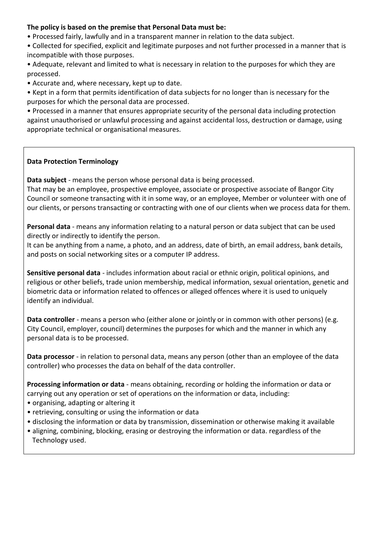## **The policy is based on the premise that Personal Data must be:**

- Processed fairly, lawfully and in a transparent manner in relation to the data subject.
- Collected for specified, explicit and legitimate purposes and not further processed in a manner that is incompatible with those purposes.
- Adequate, relevant and limited to what is necessary in relation to the purposes for which they are processed.
- Accurate and, where necessary, kept up to date.
- Kept in a form that permits identification of data subjects for no longer than is necessary for the purposes for which the personal data are processed.

• Processed in a manner that ensures appropriate security of the personal data including protection against unauthorised or unlawful processing and against accidental loss, destruction or damage, using appropriate technical or organisational measures.

## **Data Protection Terminology**

**Data subject** - means the person whose personal data is being processed.

That may be an employee, prospective employee, associate or prospective associate of Bangor City Council or someone transacting with it in some way, or an employee, Member or volunteer with one of our clients, or persons transacting or contracting with one of our clients when we process data for them.

**Personal data** - means any information relating to a natural person or data subject that can be used directly or indirectly to identify the person.

It can be anything from a name, a photo, and an address, date of birth, an email address, bank details, and posts on social networking sites or a computer IP address.

**Sensitive personal data** - includes information about racial or ethnic origin, political opinions, and religious or other beliefs, trade union membership, medical information, sexual orientation, genetic and biometric data or information related to offences or alleged offences where it is used to uniquely identify an individual.

**Data controller** - means a person who (either alone or jointly or in common with other persons) (e.g. City Council, employer, council) determines the purposes for which and the manner in which any personal data is to be processed.

**Data processor** - in relation to personal data, means any person (other than an employee of the data controller) who processes the data on behalf of the data controller.

**Processing information or data** - means obtaining, recording or holding the information or data or carrying out any operation or set of operations on the information or data, including:

- organising, adapting or altering it
- retrieving, consulting or using the information or data
- disclosing the information or data by transmission, dissemination or otherwise making it available
- aligning, combining, blocking, erasing or destroying the information or data. regardless of the Technology used.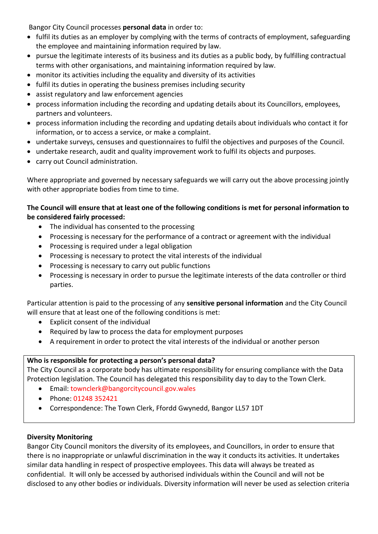Bangor City Council processes **personal data** in order to:

- fulfil its duties as an employer by complying with the terms of contracts of employment, safeguarding the employee and maintaining information required by law.
- pursue the legitimate interests of its business and its duties as a public body, by fulfilling contractual terms with other organisations, and maintaining information required by law.
- monitor its activities including the equality and diversity of its activities
- fulfil its duties in operating the business premises including security
- assist regulatory and law enforcement agencies
- process information including the recording and updating details about its Councillors, employees, partners and volunteers.
- process information including the recording and updating details about individuals who contact it for information, or to access a service, or make a complaint.
- undertake surveys, censuses and questionnaires to fulfil the objectives and purposes of the Council.
- undertake research, audit and quality improvement work to fulfil its objects and purposes.
- carry out Council administration.

Where appropriate and governed by necessary safeguards we will carry out the above processing jointly with other appropriate bodies from time to time.

# **The Council will ensure that at least one of the following conditions is met for personal information to be considered fairly processed:**

- The individual has consented to the processing
- Processing is necessary for the performance of a contract or agreement with the individual
- Processing is required under a legal obligation
- Processing is necessary to protect the vital interests of the individual
- Processing is necessary to carry out public functions
- Processing is necessary in order to pursue the legitimate interests of the data controller or third parties.

Particular attention is paid to the processing of any **sensitive personal information** and the City Council will ensure that at least one of the following conditions is met:

- Explicit consent of the individual
- Required by law to process the data for employment purposes
- A requirement in order to protect the vital interests of the individual or another person

# **Who is responsible for protecting a person's personal data?**

The City Council as a corporate body has ultimate responsibility for ensuring compliance with the Data Protection legislation. The Council has delegated this responsibility day to day to the Town Clerk.

- Email: townclerk@bangorcitycouncil.gov.wales
- Phone: 01248 352421
- Correspondence: The Town Clerk, Ffordd Gwynedd, Bangor LL57 1DT

## **Diversity Monitoring**

Bangor City Council monitors the diversity of its employees, and Councillors, in order to ensure that there is no inappropriate or unlawful discrimination in the way it conducts its activities. It undertakes similar data handling in respect of prospective employees. This data will always be treated as confidential. It will only be accessed by authorised individuals within the Council and will not be disclosed to any other bodies or individuals. Diversity information will never be used as selection criteria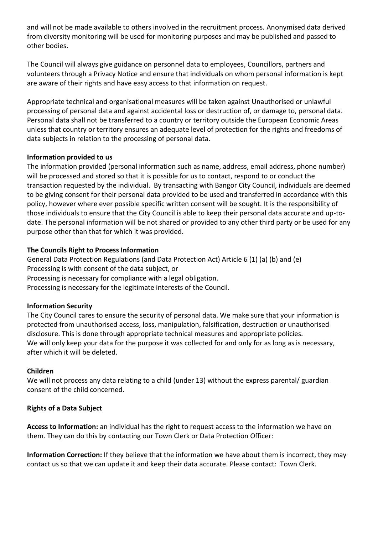and will not be made available to others involved in the recruitment process. Anonymised data derived from diversity monitoring will be used for monitoring purposes and may be published and passed to other bodies.

The Council will always give guidance on personnel data to employees, Councillors, partners and volunteers through a Privacy Notice and ensure that individuals on whom personal information is kept are aware of their rights and have easy access to that information on request.

Appropriate technical and organisational measures will be taken against Unauthorised or unlawful processing of personal data and against accidental loss or destruction of, or damage to, personal data. Personal data shall not be transferred to a country or territory outside the European Economic Areas unless that country or territory ensures an adequate level of protection for the rights and freedoms of data subjects in relation to the processing of personal data.

## **Information provided to us**

The information provided (personal information such as name, address, email address, phone number) will be processed and stored so that it is possible for us to contact, respond to or conduct the transaction requested by the individual. By transacting with Bangor City Council, individuals are deemed to be giving consent for their personal data provided to be used and transferred in accordance with this policy, however where ever possible specific written consent will be sought. It is the responsibility of those individuals to ensure that the City Council is able to keep their personal data accurate and up-todate. The personal information will be not shared or provided to any other third party or be used for any purpose other than that for which it was provided.

## **The Councils Right to Process Information**

General Data Protection Regulations (and Data Protection Act) Article 6 (1) (a) (b) and (e) Processing is with consent of the data subject, or Processing is necessary for compliance with a legal obligation. Processing is necessary for the legitimate interests of the Council.

## **Information Security**

The City Council cares to ensure the security of personal data. We make sure that your information is protected from unauthorised access, loss, manipulation, falsification, destruction or unauthorised disclosure. This is done through appropriate technical measures and appropriate policies. We will only keep your data for the purpose it was collected for and only for as long as is necessary, after which it will be deleted.

# **Children**

We will not process any data relating to a child (under 13) without the express parental/ guardian consent of the child concerned.

# **Rights of a Data Subject**

**Access to Information:** an individual has the right to request access to the information we have on them. They can do this by contacting our Town Clerk or Data Protection Officer:

**Information Correction:** If they believe that the information we have about them is incorrect, they may contact us so that we can update it and keep their data accurate. Please contact: Town Clerk.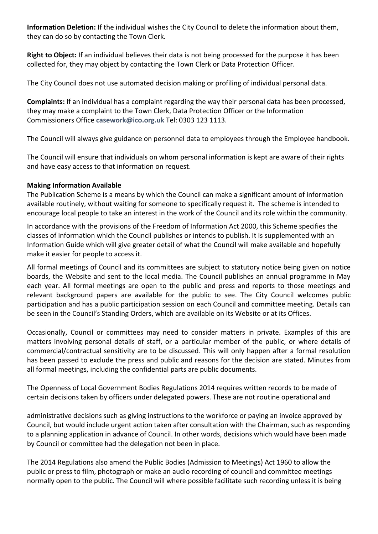**Information Deletion:** If the individual wishes the City Council to delete the information about them, they can do so by contacting the Town Clerk.

**Right to Object:** If an individual believes their data is not being processed for the purpose it has been collected for, they may object by contacting the Town Clerk or Data Protection Officer.

The City Council does not use automated decision making or profiling of individual personal data.

**Complaints:** If an individual has a complaint regarding the way their personal data has been processed, they may make a complaint to the Town Clerk, Data Protection Officer or the Information Commissioners Office **[casework@ico.org.uk](mailto:casework@ico.org.uk)** Tel: 0303 123 1113.

The Council will always give guidance on personnel data to employees through the Employee handbook.

The Council will ensure that individuals on whom personal information is kept are aware of their rights and have easy access to that information on request.

#### **Making Information Available**

The Publication Scheme is a means by which the Council can make a significant amount of information available routinely, without waiting for someone to specifically request it. The scheme is intended to encourage local people to take an interest in the work of the Council and its role within the community.

In accordance with the provisions of the Freedom of Information Act 2000, this Scheme specifies the classes of information which the Council publishes or intends to publish. It is supplemented with an Information Guide which will give greater detail of what the Council will make available and hopefully make it easier for people to access it.

All formal meetings of Council and its committees are subject to statutory notice being given on notice boards, the Website and sent to the local media. The Council publishes an annual programme in May each year. All formal meetings are open to the public and press and reports to those meetings and relevant background papers are available for the public to see. The City Council welcomes public participation and has a public participation session on each Council and committee meeting. Details can be seen in the Council's Standing Orders, which are available on its Website or at its Offices.

Occasionally, Council or committees may need to consider matters in private. Examples of this are matters involving personal details of staff, or a particular member of the public, or where details of commercial/contractual sensitivity are to be discussed. This will only happen after a formal resolution has been passed to exclude the press and public and reasons for the decision are stated. Minutes from all formal meetings, including the confidential parts are public documents.

The Openness of Local Government Bodies Regulations 2014 requires written records to be made of certain decisions taken by officers under delegated powers. These are not routine operational and

administrative decisions such as giving instructions to the workforce or paying an invoice approved by Council, but would include urgent action taken after consultation with the Chairman, such as responding to a planning application in advance of Council. In other words, decisions which would have been made by Council or committee had the delegation not been in place.

The 2014 Regulations also amend the Public Bodies (Admission to Meetings) Act 1960 to allow the public or press to film, photograph or make an audio recording of council and committee meetings normally open to the public. The Council will where possible facilitate such recording unless it is being